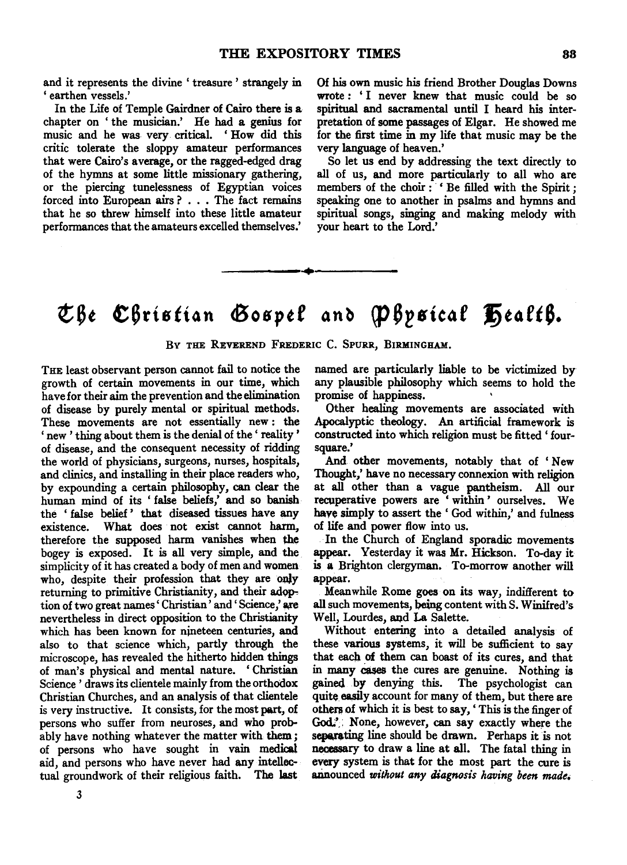and it represents the divine ' treasure ' strangely in ' earthen vessels.'

In the Life of Temple Gairdner of Cairo there is a chapter on 'the musician.' He had a genius for music and he was very critical. ' How did this critic tolerate the sloppy amateur performances that were Cairo's average, or the ragged-edged drag of the hymns at some little missionary gathering, or the piercing tunelessness of Egyptian voices forced into European airs ? . . . The fact remains that he so threw himself into these little amateur performances that the amateurs excelled themselves.'

Of his own music his friend Brother Douglas Downs wrote: 'I never knew that music could be so spiritual and sacramental until I heard his interpretation of some passages of Elgar. He showed me for the first time in my life that music may be the very language of heaven.'

So let us end by addressing the text directly to all of us, and more particularly to all who are members of the choir : 'Be filled with the Spirit ; speaking one to another in psalms and hymns and spiritual songs, singing and making melody with your heart to the Lord.'

### ----------~-----------

## *t6t* ~6ri6ti4n *<Bo6ptt* **anb** (P6~sicat ~t4ltt6.

#### BY THE REVEREND FREDERIC C. SPURR, BIRMINGHAM.

THE least observant person cannot fail to notice the growth of certain movements in our time, which have for their aim the prevention and the elimination of disease by purely mental or spiritual methods. These movements are not essentially new : the ' new ' thing about them is the denial of the ' reality ' of disease, and the consequent necessity of ridding the world of physicians, surgeons, nurses, hospitals, and clinics, and installing in their place readers who, by expounding a certain philosophy, can clear the human mind of its ' false beliefs,' and so banish the ' false belief ' that diseased tissues have any existence. What does not exist cannot harm, therefore the supposed harm vanishes when the bogey is exposed. It is all very simple, and the simplicity of it has created a body of men and women who, despite their profession that they are only returning to primitive Christianity, and their adoption of two great names 'Christian' and 'Science,' are nevertheless in direct opposition to the Christianity which has been known for nineteen centuries, and also to that science which, partly through the microscope, has revealed the hitherto hidden things of man's physical and mental nature. 'Christian Science 'draws its clientele mainly from the orthodox Christian Churches, and an analysis of that clientele is very instructive. It consists, for the most part, of persons who suffer from neuroses, and who probably have nothing whatever the matter with them; of persons who have sought in vain medical aid, and persons who have never had any intellectual groundwork of their religious faith. The last

3

named are particularly liable to be victimized by any plausible philosophy which seems to hold the promise of happiness. '

Other healing movements are associated with Apocalyptic theology. An artificial framework is constructed into which religion must be fitted ' foursquare.'

And other movements, notably that of 'New Thought,' have no necessary connexion with religion at all other than a vague pantheism. All our recuperative powers are ' within ' ourselves. We have simply to assert the ' God within,' and fulness of life and power flow into us.

In the Church of England sporadic movements appear. Yesterday it was Mr. Hickson. To-day it is a Brighton clergyman. To-morrow another will appear.

Meanwhile Rome goes on its way, indifferent to all such movements, being content with S. Winifred's Well, Lourdes, and La Salette.

Without entering into a detailed analysis of these various systems, it will be sufficient to say that each of them can boast of its cures, and that in many cases the cures are genuine. Nothing is gained by denying this. The psychologist can quite easily account for many of them, but there are others of which it is best to say, ' This is the finger of God/: None, however, can say exactly where the separating line should be drawn. Perhaps it is not necessary to draw a line at all. The fatal thing in every system is that for the most part the cure is announced *without any diagnosis having been made.*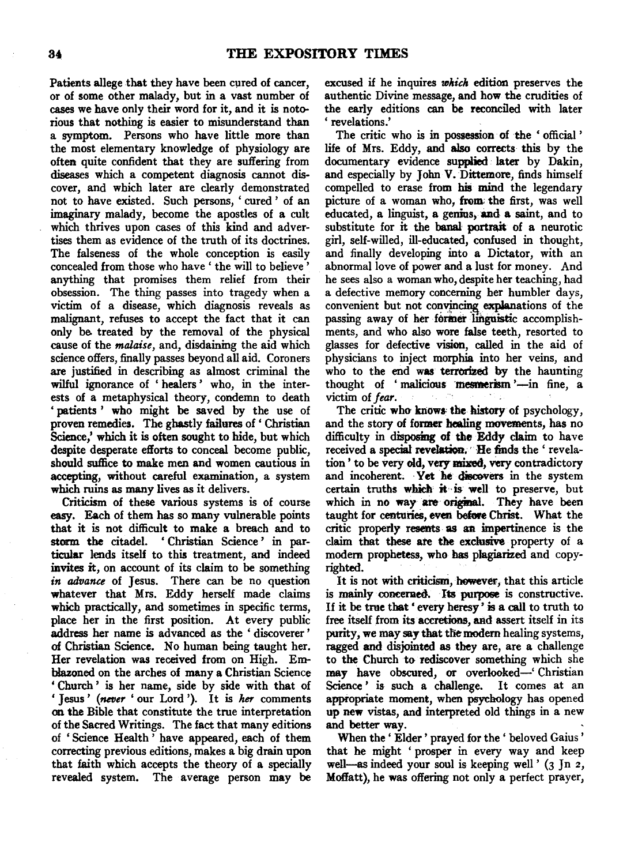Patients allege that they have been cured of cancer, or of some other malady, but in a vast number of cases we have only their word for it, and it is notorious that nothing is easier to misunderstand than a symptom. Persons who have little more than the most elementary knowledge of physiology are often quite confident that they are suffering from diseases which a competent diagnosis cannot discover, and which later are clearly demonstrated not to have existed. Such persons, 'cured' of an imaginary malady, become the apostles of a cult which thrives upon cases of this kind and advertises them as evidence of the truth of its doctrines. The falseness of the whole conception is easily concealed from those who have' the will to believe' anything that promises them relief from their obsession. The thing passes into tragedy when a victim of a disease, which diagnosis reveals as malignant, refuses to accept the fact that it can only be. treated by the removal of the physical cause of the *malaise,* and, disdaining the aid which science offers, finally passes beyond all aid. Coroners are justified in describing as almost criminal the wilful ignorance of 'healers' who, in the interests of a metaphysical theory, condemn to death ' patients ' who might be saved by the use of proven remedies. The ghastly failures of ' Christian Science,' which it is often sought to hide, but which despite desperate efforts to conceal become public, should suffice to make men and women cautious in accepting, without careful examination, a system which ruins as many lives as it delivers.

Criticism of these various systems is of course easy. Each of them has so many vulnerable points that it is not difficult to make a breach and to storm the citadel. ' Christian Science ' in particular lends itself to this treatment, and indeed invites it, on account of its claim to he something *in advance* of Jesus. There can be no question whatever that Mrs. Eddy herself made claims which practically, and sometimes in specific terms, place her in the first position. At every public address her name is advanced as the ' discoverer ' of Christian Science. No human being taught her. Her revelation was received from on High. Emblazoned on the arches of many a Christian Science ' Church ' is her name, side by side with that of 'Jesus' *(never* 'our Lord'). It is *her* comments on the Bible that constitute the true interpretation of the Sacred Writings. The fact that many editions of 'Science Health' have appeared, each of them correcting previous editions, makes a big drain upon that faith which accepts the theory of a specially revealed system. The average person may be excused if he inquires *which* edition preserves the authentic Divine message, and how the crudities of the early editions can be reconciled with later ' revelations.'

The critic who is in possession of the 'official' life of Mrs. Eddy, and also corrects this by the documentary evidence supplied later by Dakin, and especially by John V. Dittemore, finds himself compelled to erase from his mind the legendary picture of a woman who, from the first, was well educated, a linguist, a genius, and a saint, and to substitute for it the banal portrait of a neurotic girl, self-willed, ill-educated, confused in thought, and finally developing into a Dictator, with an abnormal love of power and a lust for money. And he sees also a woman who, despite her teaching, had a defective memory concerning her humbler days, convenient but not convincing explanations of the passing away of her former linguistic accomplishments, and who also wore false teeth, resorted to glasses for defective vision, called in the aid of physicians to inject morphia into her veins, and who to the end was terrorized by the haunting thought of 'malicious mesmerism'-in fine, a victim of *fear.* 

The critic who knows the history of psychology, and the story of former healing movements, has no difficulty in disposing of the Eddy claim to have received a special revelation. 'He finds the ' revelation' to be very old, very mixed, very contradictory and incoherent. Yet he discovers in the system certain truths which it ·is well to preserve, but which in no way are original. They have been taught for centuries, even before Christ. What the critic properly resents. as an impertinence is the claim that these ate the exclusive property of a modem prophetess, who has plagiarized and copyrighted.

It is not with criticism, hewever, that this article is mainly concerned. Its purpose is constructive. If it be true that ' every heresy ' is a call to truth to free itself from its accretions, and assert itself in its purity, we may say that the modern healing systems, ragged and disjointed as they are, are a challenge to the Church to rediscover something which she may have obscured, or overlooked-' Christian Science' is such a challenge. It comes at an appropriate moment, when psychology has opened up new vistas, and interpreted old things in a new and better way.

When the ' Elder ' prayed for the ' beloved Gaius ' that he might 'prosper in every way and keep well--as indeed your soul is keeping well '  $(3 \ln 2,$ Moffatt), he was offering not only a perfect prayer,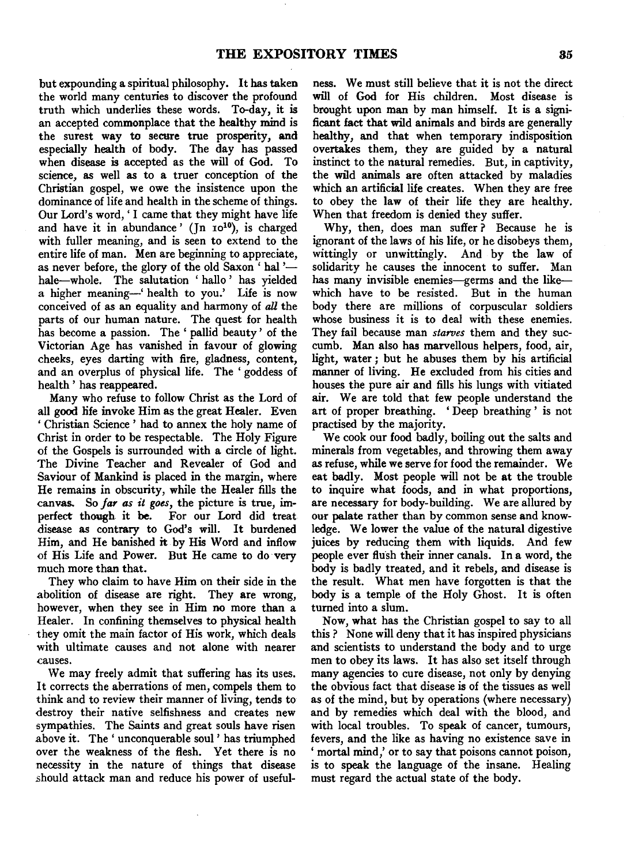but expounding a spiritual philosophy. It has taken the world many centuries to discover the profound truth which underlies these words. To-day, it is an accepted commonplace that the healthy mind is the surest way to secure true prosperity, and especially health of body. The day has passed when disease is accepted as the will of God. To science, as well as to a truer conception of the Christian gospel, we owe the insistence upon the dominance of life and health in the scheme of things. Our Lord's word,' I came that they might have life and have it in abundance'  $($ In  $10^{10}$ ), is charged with fuller meaning, and is seen to extend to the entire life of man. Men are beginning to appreciate, as never before, the glory of the old  $Saxon'$  hal  $'$ hale-whole. The salutation 'hallo' has yielded a higher meaning-' health to you.' Life is now conceived of as an equality and harmony of *all* the parts of our human nature. The quest for health has become a passion. The ' pallid beauty ' of the Victorian Age has vanished in favour of glowing cheeks, eyes darting with fire, gladness, content, and an overplus of physical life. The ' goddess of health ' has reappeared.

Many who refuse to follow Christ as the Lord of all good life invoke Him as the great Healer. Even ' Christian Science ' had to annex the holy name of Christ in order to be respectable. The Holy Figure of the Gospels is surrounded with a circle of light. The Divine Teacher and Revealer of God and Saviour of Mankind is placed in the margin, where He remains in obscurity, while the Healer fills the canvas.. So *jar as it goes,* the picture is true, imperfect though it be. For our Lord did treat disease as contrary to God's will. It burdened Him, and He banished it by His Word and inflow of His Life and Power. But He came to do very much more than that.

They who claim to have Him on their side in the abolition of disease are right. They are wrong, however, when they see in Him no more than a Healer. In confining themselves to physical health they omit the main factor of His work, which deals with ultimate causes and not alone with nearer causes.

We may freely admit that suffering has its uses. It corrects the aberrations of men, compels them to think and to review their manner of living, tends to destroy their native selfishness and creates new sympathies. The Saints and great souls have risen above it. The ' unconquerable soul ' has triumphed over the weakness of the flesh. Yet there is no necessity in the nature of things that disease should attack man and reduce his power of usefulness. We must still believe that it is not the direct will of God for His children. Most disease is brought upon man by man himself. It is a significant fact that wild animals and birds are generally healthy, and that when temporary indisposition overtakes them, they are guided by a natural instinct to the natural remedies. But, in captivity, the wild animals are often attacked by maladies which an artificial life creates. When they are free to obey the law of their life they are healthy. When that freedom is denied they suffer.

Why, then, does man suffer ? Because he is ignorant of the laws of his life, or he disobeys them, wittingly or unwittingly. And by the law of solidarity he causes the innocent to suffer. Man has many invisible enemies-germs and the likewhich have to be resisted. But in the human body there are millions of corpuscular soldiers whose business it is to deal with these enemies. They fail because man *starves* them and they succumb. Man also has marvellous helpers, food, air, light, water ; but he abuses them by his artificial manner of living. He excluded from his cities and houses the pure air and fills his lungs with vitiated air. We are told that few people understand the art of proper breathing. ' Deep breathing ' is not practised by the majority.

We cook our food badly, boiling out the salts and minerals from vegetables, and throwing them away as refuse, while we serve for food the remainder. We eat badly. Most people will not be at the trouble to inquire what foods, and in what proportions, are necessary for body-building. We are allured by our palate rather than by common sense and knowledge. We lower the value of the natural digestive juices by reducing them with liquids. And few people ever flush their inner canals. In a word, the body is badly treated, and it rebels, and disease is the result. What men have forgotten is that the body is a temple of the Holy Ghost. It is often turned into a slum.

Now, what has the Christian gospel to say to all this? None will deny that it has inspired physicians and scientists to understand the body and to urge men to obey its laws. It has also set itself through many agencies to cure disease, not only by denying the obvious fact that disease is of the tissues as well as of the mind, but by operations (where necessary) and by remedies which deal with the blood, and with local troubles. To speak of cancer, tumours, fevers, and the like as having no existence save in mortal mind,' or to say that poisons cannot poison, is to speak the language of the insane. Healing must regard the actual state of the body.